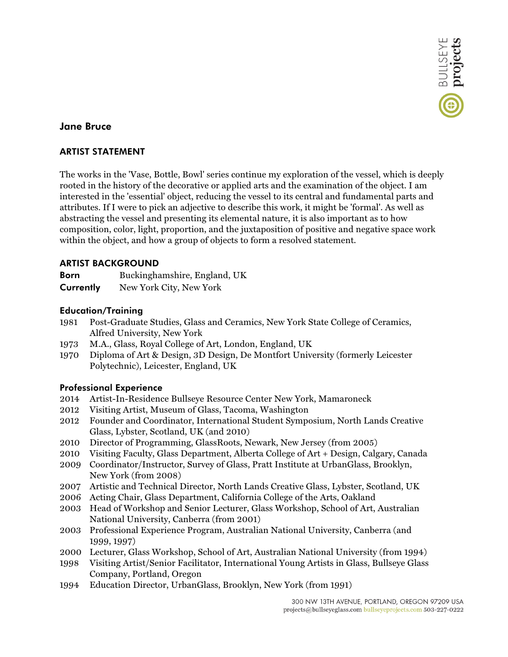

# **Jane Bruce**

## **ARTIST STATEMENT**

The works in the 'Vase, Bottle, Bowl' series continue my exploration of the vessel, which is deeply rooted in the history of the decorative or applied arts and the examination of the object. I am interested in the 'essential' object, reducing the vessel to its central and fundamental parts and attributes. If I were to pick an adjective to describe this work, it might be 'formal'. As well as abstracting the vessel and presenting its elemental nature, it is also important as to how composition, color, light, proportion, and the juxtaposition of positive and negative space work within the object, and how a group of objects to form a resolved statement.

## **ARTIST BACKGROUND**

| <b>Born</b> | Buckinghamshire, England, UK |
|-------------|------------------------------|
| Currently   | New York City, New York      |

## **Education/Training**

- 1981 Post-Graduate Studies, Glass and Ceramics, New York State College of Ceramics, Alfred University, New York
- 1973 M.A., Glass, Royal College of Art, London, England, UK
- 1970 Diploma of Art & Design, 3D Design, De Montfort University (formerly Leicester Polytechnic), Leicester, England, UK

### **Professional Experience**

- 2014 Artist-In-Residence Bullseye Resource Center New York, Mamaroneck
- 2012 Visiting Artist, Museum of Glass, Tacoma, Washington
- 2012 Founder and Coordinator, International Student Symposium, North Lands Creative Glass, Lybster, Scotland, UK (and 2010)
- 2010 Director of Programming, GlassRoots, Newark, New Jersey (from 2005)
- 2010 Visiting Faculty, Glass Department, Alberta College of Art + Design, Calgary, Canada
- 2009 Coordinator/Instructor, Survey of Glass, Pratt Institute at UrbanGlass, Brooklyn, New York (from 2008)
- 2007 Artistic and Technical Director, North Lands Creative Glass, Lybster, Scotland, UK
- 2006 Acting Chair, Glass Department, California College of the Arts, Oakland
- 2003 Head of Workshop and Senior Lecturer, Glass Workshop, School of Art, Australian National University, Canberra (from 2001)
- 2003 Professional Experience Program, Australian National University, Canberra (and 1999, 1997)
- 2000 Lecturer, Glass Workshop, School of Art, Australian National University (from 1994)
- 1998 Visiting Artist/Senior Facilitator, International Young Artists in Glass, Bullseye Glass Company, Portland, Oregon
- 1994 Education Director, UrbanGlass, Brooklyn, New York (from 1991)